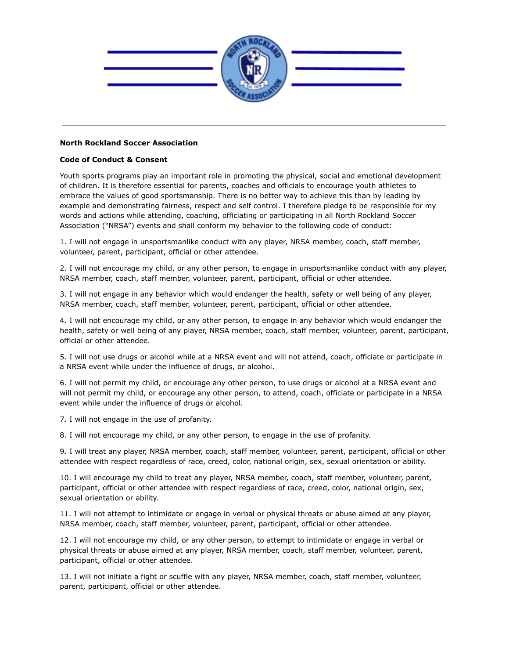

## **North Rockland Soccer Association**

## **Code of Conduct & Consent**

Youth sports programs play an important role in promoting the physical, social and emotional development of children. It is therefore essential for parents, coaches and officials to encourage youth athletes to embrace the values of good sportsmanship. There is no better way to achieve this than by leading by example and demonstrating fairness, respect and self control. I therefore pledge to be responsible for my words and actions while attending, coaching, officiating or participating in all North Rockland Soccer Association ("NRSA") events and shall conform my behavior to the following code of conduct:

1. I will not engage in unsportsmanlike conduct with any player, NRSA member, coach, staff member, volunteer, parent, participant, official or other attendee.

2. I will not encourage my child, or any other person, to engage in unsportsmanlike conduct with any player, NRSA member, coach, staff member, volunteer, parent, participant, official or other attendee.

3. I will not engage in any behavior which would endanger the health, safety or well being of any player, NRSA member, coach, staff member, volunteer, parent, participant, official or other attendee.

4. I will not encourage my child, or any other person, to engage in any behavior which would endanger the health, safety or well being of any player, NRSA member, coach, staff member, volunteer, parent, participant, official or other attendee.

5. I will not use drugs or alcohol while at a NRSA event and will not attend, coach, officiate or participate in a NRSA event while under the influence of drugs, or alcohol.

6. I will not permit my child, or encourage any other person, to use drugs or alcohol at a NRSA event and will not permit my child, or encourage any other person, to attend, coach, officiate or participate in a NRSA event while under the influence of drugs or alcohol.

7. I will not engage in the use of profanity.

8. I will not encourage my child, or any other person, to engage in the use of profanity.

9. I will treat any player, NRSA member, coach, staff member, volunteer, parent, participant, official or other attendee with respect regardless of race, creed, color, national origin, sex, sexual orientation or ability.

10. I will encourage my child to treat any player, NRSA member, coach, staff member, volunteer, parent, participant, official or other attendee with respect regardless of race, creed, color, national origin, sex, sexual orientation or ability.

11. I will not attempt to intimidate or engage in verbal or physical threats or abuse aimed at any player, NRSA member, coach, staff member, volunteer, parent, participant, official or other attendee.

12. I will not encourage my child, or any other person, to attempt to intimidate or engage in verbal or physical threats or abuse aimed at any player, NRSA member, coach, staff member, volunteer, parent, participant, official or other attendee.

13. I will not initiate a fight or scuffle with any player, NRSA member, coach, staff member, volunteer, parent, participant, official or other attendee.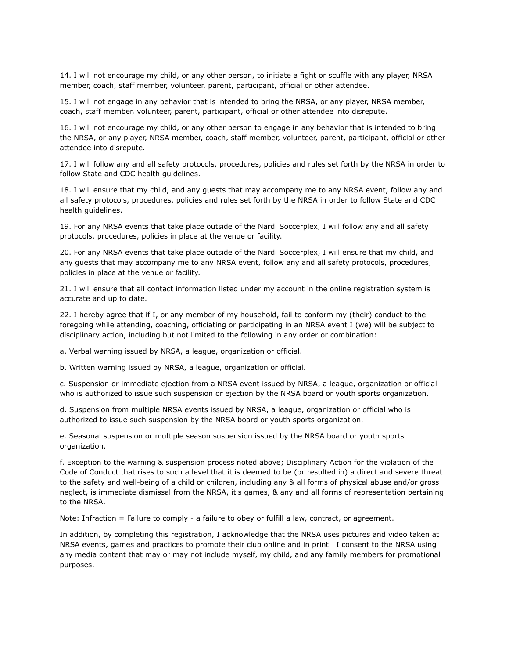14. I will not encourage my child, or any other person, to initiate a fight or scuffle with any player, NRSA member, coach, staff member, volunteer, parent, participant, official or other attendee.

15. I will not engage in any behavior that is intended to bring the NRSA, or any player, NRSA member, coach, staff member, volunteer, parent, participant, official or other attendee into disrepute.

16. I will not encourage my child, or any other person to engage in any behavior that is intended to bring the NRSA, or any player, NRSA member, coach, staff member, volunteer, parent, participant, official or other attendee into disrepute.

17. I will follow any and all safety protocols, procedures, policies and rules set forth by the NRSA in order to follow State and CDC health guidelines.

18. I will ensure that my child, and any guests that may accompany me to any NRSA event, follow any and all safety protocols, procedures, policies and rules set forth by the NRSA in order to follow State and CDC health guidelines.

19. For any NRSA events that take place outside of the Nardi Soccerplex, I will follow any and all safety protocols, procedures, policies in place at the venue or facility.

20. For any NRSA events that take place outside of the Nardi Soccerplex, I will ensure that my child, and any guests that may accompany me to any NRSA event, follow any and all safety protocols, procedures, policies in place at the venue or facility.

21. I will ensure that all contact information listed under my account in the online registration system is accurate and up to date.

22. I hereby agree that if I, or any member of my household, fail to conform my (their) conduct to the foregoing while attending, coaching, officiating or participating in an NRSA event I (we) will be subject to disciplinary action, including but not limited to the following in any order or combination:

a. Verbal warning issued by NRSA, a league, organization or official.

b. Written warning issued by NRSA, a league, organization or official.

c. Suspension or immediate ejection from a NRSA event issued by NRSA, a league, organization or official who is authorized to issue such suspension or ejection by the NRSA board or youth sports organization.

d. Suspension from multiple NRSA events issued by NRSA, a league, organization or official who is authorized to issue such suspension by the NRSA board or youth sports organization.

e. Seasonal suspension or multiple season suspension issued by the NRSA board or youth sports organization.

f. Exception to the warning & suspension process noted above; Disciplinary Action for the violation of the Code of Conduct that rises to such a level that it is deemed to be (or resulted in) a direct and severe threat to the safety and well-being of a child or children, including any & all forms of physical abuse and/or gross neglect, is immediate dismissal from the NRSA, it's games, & any and all forms of representation pertaining to the NRSA.

Note: Infraction = Failure to comply - a failure to obey or fulfill a law, contract, or agreement.

In addition, by completing this registration, I acknowledge that the NRSA uses pictures and video taken at NRSA events, games and practices to promote their club online and in print. I consent to the NRSA using any media content that may or may not include myself, my child, and any family members for promotional purposes.